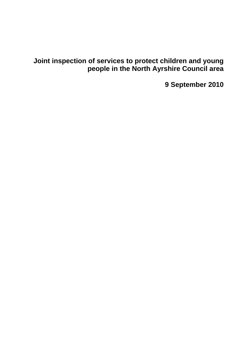**Joint inspection of services to protect children and young people in the North Ayrshire Council area** 

**9 September 2010**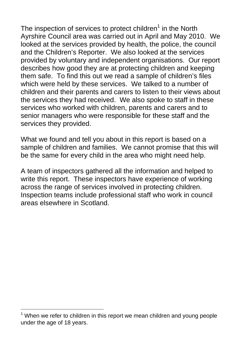The inspection of services to protect children<sup>1</sup> in the North Ayrshire Council area was carried out in April and May 2010. We looked at the services provided by health, the police, the council and the Children's Reporter. We also looked at the services provided by voluntary and independent organisations. Our report describes how good they are at protecting children and keeping them safe. To find this out we read a sample of children's files which were held by these services. We talked to a number of children and their parents and carers to listen to their views about the services they had received. We also spoke to staff in these services who worked with children, parents and carers and to senior managers who were responsible for these staff and the services they provided.

What we found and tell you about in this report is based on a sample of children and families. We cannot promise that this will be the same for every child in the area who might need help.

A team of inspectors gathered all the information and helped to write this report. These inspectors have experience of working across the range of services involved in protecting children. Inspection teams include professional staff who work in council areas elsewhere in Scotland.

l

 $1$  When we refer to children in this report we mean children and young people under the age of 18 years.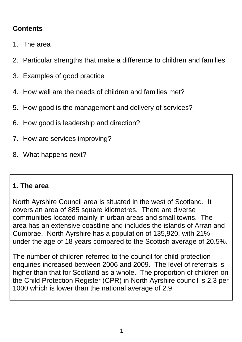# **Contents**

- 1. The area
- 2. Particular strengths that make a difference to children and families
- 3. Examples of good practice
- 4. How well are the needs of children and families met?
- 5. How good is the management and delivery of services?
- 6. How good is leadership and direction?
- 7. How are services improving?
- 8. What happens next?

## **1. The area**

North Ayrshire Council area is situated in the west of Scotland. It covers an area of 885 square kilometres. There are diverse communities located mainly in urban areas and small towns. The area has an extensive coastline and includes the islands of Arran and Cumbrae. North Ayrshire has a population of 135,920, with 21% under the age of 18 years compared to the Scottish average of 20.5%.

The number of children referred to the council for child protection enquiries increased between 2006 and 2009. The level of referrals is higher than that for Scotland as a whole. The proportion of children on the Child Protection Register (CPR) in North Ayrshire council is 2.3 per 1000 which is lower than the national average of 2.9.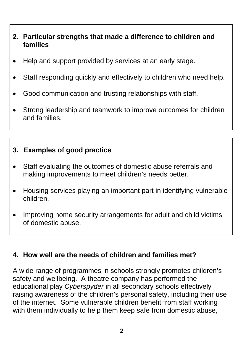## **2. Particular strengths that made a difference to children and families**

- Help and support provided by services at an early stage.
- Staff responding quickly and effectively to children who need help.
- Good communication and trusting relationships with staff.
- Strong leadership and teamwork to improve outcomes for children and families.

#### **3. Examples of good practice**

- Staff evaluating the outcomes of domestic abuse referrals and making improvements to meet children's needs better.
- Housing services playing an important part in identifying vulnerable children.
- Improving home security arrangements for adult and child victims of domestic abuse.

#### **4. How well are the needs of children and families met?**

A wide range of programmes in schools strongly promotes children's safety and wellbeing. A theatre company has performed the educational play *Cyberspyder* in all secondary schools effectively raising awareness of the children's personal safety, including their use of the internet. Some vulnerable children benefit from staff working with them individually to help them keep safe from domestic abuse,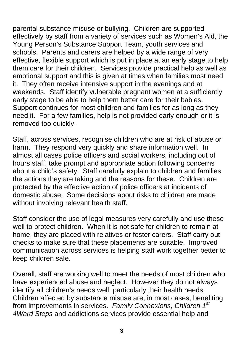parental substance misuse or bullying. Children are supported effectively by staff from a variety of services such as Women's Aid, the Young Person's Substance Support Team, youth services and schools. Parents and carers are helped by a wide range of very effective, flexible support which is put in place at an early stage to help them care for their children. Services provide practical help as well as emotional support and this is given at times when families most need it. They often receive intensive support in the evenings and at weekends. Staff identify vulnerable pregnant women at a sufficiently early stage to be able to help them better care for their babies. Support continues for most children and families for as long as they need it. For a few families, help is not provided early enough or it is removed too quickly.

Staff, across services, recognise children who are at risk of abuse or harm. They respond very quickly and share information well. In almost all cases police officers and social workers, including out of hours staff, take prompt and appropriate action following concerns about a child's safety. Staff carefully explain to children and families the actions they are taking and the reasons for these. Children are protected by the effective action of police officers at incidents of domestic abuse. Some decisions about risks to children are made without involving relevant health staff.

Staff consider the use of legal measures very carefully and use these well to protect children. When it is not safe for children to remain at home, they are placed with relatives or foster carers. Staff carry out checks to make sure that these placements are suitable. Improved communication across services is helping staff work together better to keep children safe.

Overall, staff are working well to meet the needs of most children who have experienced abuse and neglect. However they do not always identify all children's needs well, particularly their health needs. Children affected by substance misuse are, in most cases, benefiting from improvements in services. *Family Connexions, Children 1st 4Ward Steps* and addictions services provide essential help and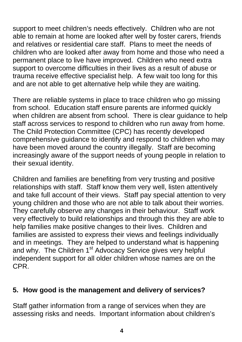support to meet children's needs effectively. Children who are not able to remain at home are looked after well by foster carers, friends and relatives or residential care staff. Plans to meet the needs of children who are looked after away from home and those who need a permanent place to live have improved. Children who need extra support to overcome difficulties in their lives as a result of abuse or trauma receive effective specialist help. A few wait too long for this and are not able to get alternative help while they are waiting.

There are reliable systems in place to trace children who go missing from school. Education staff ensure parents are informed quickly when children are absent from school. There is clear guidance to help staff across services to respond to children who run away from home. The Child Protection Committee (CPC) has recently developed comprehensive guidance to identify and respond to children who may have been moved around the country illegally. Staff are becoming increasingly aware of the support needs of young people in relation to their sexual identity.

Children and families are benefiting from very trusting and positive relationships with staff. Staff know them very well, listen attentively and take full account of their views. Staff pay special attention to very young children and those who are not able to talk about their worries. They carefully observe any changes in their behaviour. Staff work very effectively to build relationships and through this they are able to help families make positive changes to their lives. Children and families are assisted to express their views and feelings individually and in meetings. They are helped to understand what is happening and why. The Children 1<sup>st</sup> Advocacy Service gives very helpful independent support for all older children whose names are on the CPR.

## **5. How good is the management and delivery of services?**

Staff gather information from a range of services when they are assessing risks and needs. Important information about children's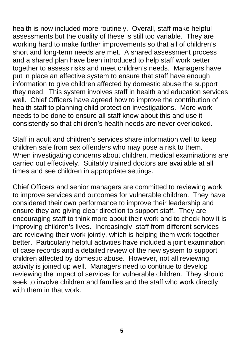health is now included more routinely. Overall, staff make helpful assessments but the quality of these is still too variable. They are working hard to make further improvements so that all of children's short and long-term needs are met. A shared assessment process and a shared plan have been introduced to help staff work better together to assess risks and meet children's needs. Managers have put in place an effective system to ensure that staff have enough information to give children affected by domestic abuse the support they need. This system involves staff in health and education services well. Chief Officers have agreed how to improve the contribution of health staff to planning child protection investigations. More work needs to be done to ensure all staff know about this and use it consistently so that children's health needs are never overlooked.

Staff in adult and children's services share information well to keep children safe from sex offenders who may pose a risk to them. When investigating concerns about children, medical examinations are carried out effectively. Suitably trained doctors are available at all times and see children in appropriate settings.

Chief Officers and senior managers are committed to reviewing work to improve services and outcomes for vulnerable children. They have considered their own performance to improve their leadership and ensure they are giving clear direction to support staff. They are encouraging staff to think more about their work and to check how it is improving children's lives. Increasingly, staff from different services are reviewing their work jointly, which is helping them work together better. Particularly helpful activities have included a joint examination of case records and a detailed review of the new system to support children affected by domestic abuse. However, not all reviewing activity is joined up well. Managers need to continue to develop reviewing the impact of services for vulnerable children. They should seek to involve children and families and the staff who work directly with them in that work.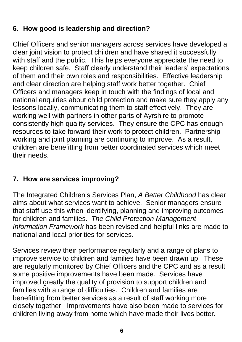# **6. How good is leadership and direction?**

Chief Officers and senior managers across services have developed a clear joint vision to protect children and have shared it successfully with staff and the public. This helps everyone appreciate the need to keep children safe. Staff clearly understand their leaders' expectations of them and their own roles and responsibilities. Effective leadership and clear direction are helping staff work better together. Chief Officers and managers keep in touch with the findings of local and national enquiries about child protection and make sure they apply any lessons locally, communicating them to staff effectively. They are working well with partners in other parts of Ayrshire to promote consistently high quality services. They ensure the CPC has enough resources to take forward their work to protect children. Partnership working and joint planning are continuing to improve. As a result, children are benefitting from better coordinated services which meet their needs.

## **7. How are services improving?**

The Integrated Children's Services Plan, *A Better Childhood* has clear aims about what services want to achieve. Senior managers ensure that staff use this when identifying, planning and improving outcomes for children and families. *The Child Protection Management Information Framework* has been revised and helpful links are made to national and local priorities for services.

Services review their performance regularly and a range of plans to improve service to children and families have been drawn up. These are regularly monitored by Chief Officers and the CPC and as a result some positive improvements have been made. Services have improved greatly the quality of provision to support children and families with a range of difficulties. Children and families are benefitting from better services as a result of staff working more closely together. Improvements have also been made to services for children living away from home which have made their lives better.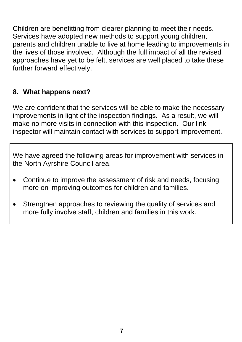Children are benefitting from clearer planning to meet their needs. Services have adopted new methods to support young children, parents and children unable to live at home leading to improvements in the lives of those involved. Although the full impact of all the revised approaches have yet to be felt, services are well placed to take these further forward effectively.

## **8. What happens next?**

We are confident that the services will be able to make the necessary improvements in light of the inspection findings. As a result, we will make no more visits in connection with this inspection. Our link inspector will maintain contact with services to support improvement.

We have agreed the following areas for improvement with services in the North Ayrshire Council area.

- Continue to improve the assessment of risk and needs, focusing more on improving outcomes for children and families.
- Strengthen approaches to reviewing the quality of services and more fully involve staff, children and families in this work.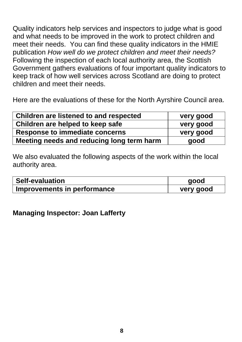Quality indicators help services and inspectors to judge what is good and what needs to be improved in the work to protect children and meet their needs. You can find these quality indicators in the HMIE publication *How well do we protect children and meet their needs?*  Following the inspection of each local authority area, the Scottish Government gathers evaluations of four important quality indicators to keep track of how well services across Scotland are doing to protect children and meet their needs.

Here are the evaluations of these for the North Ayrshire Council area.

| Children are listened to and respected    | very good |
|-------------------------------------------|-----------|
| Children are helped to keep safe          | very good |
| Response to immediate concerns            | very good |
| Meeting needs and reducing long term harm | good      |

We also evaluated the following aspects of the work within the local authority area.

| <b>Self-evaluation</b>      | good      |
|-----------------------------|-----------|
| Improvements in performance | very good |

#### **Managing Inspector: Joan Lafferty**